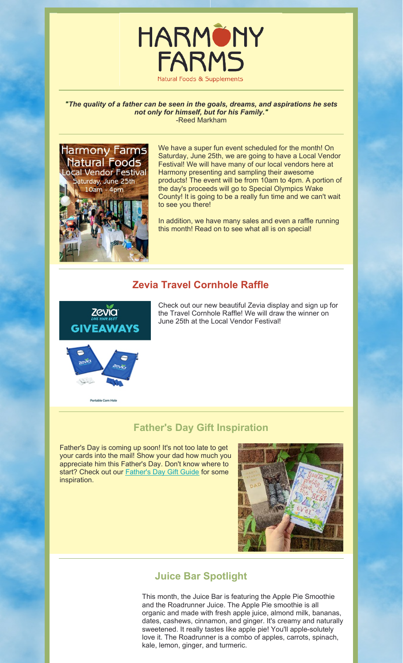

*"The quality of a father can be seen in the goals, dreams, and aspirations he sets not only for himself, but for his Family."* -Reed Markham



We have a super fun event scheduled for the month! On Saturday, June 25th, we are going to have a Local Vendor Festival! We will have many of our local vendors here at Harmony presenting and sampling their awesome products! The event will be from 10am to 4pm. A portion of the day's proceeds will go to Special Olympics Wake County! It is going to be a really fun time and we can't wait to see you there!

In addition, we have many sales and even a raffle running this month! Read on to see what all is on special!

## **Zevia Travel Cornhole Raffle**



Check out our new beautiful Zevia display and sign up for the Travel Cornhole Raffle! We will draw the winner on June 25th at the Local Vendor Festival!



### **Father's Day Gift Inspiration**

Father's Day is coming up soon! It's not too late to get your cards into the mail! Show your dad how much you appreciate him this Father's Day. Don't know where to start? Check out our **Father's Day Gift Guide** for some inspiration.



### **Juice Bar Spotlight**

This month, the Juice Bar is featuring the Apple Pie Smoothie and the Roadrunner Juice. The Apple Pie smoothie is all organic and made with fresh apple juice, almond milk, bananas, dates, cashews, cinnamon, and ginger. It's creamy and naturally sweetened. It really tastes like apple pie! You'll apple-solutely love it. The Roadrunner is a combo of apples, carrots, spinach, kale, lemon, ginger, and turmeric.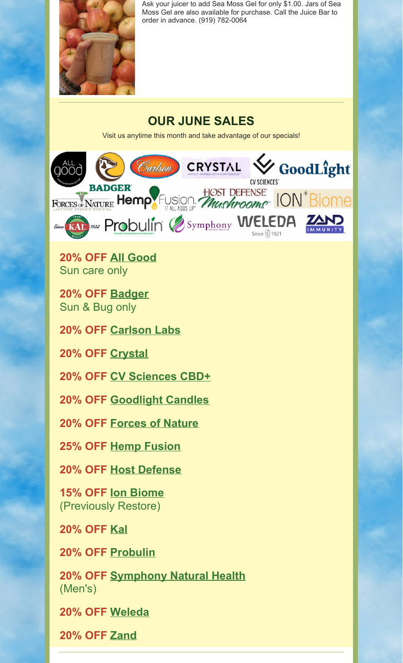

Ask your juicer to add Sea Moss Gel for only \$1.00. Jars of Sea Moss Gel are also available for purchase. Call the Juice Bar to order in advance. (919) 782-0064

# **OUR JUNE SALES**

Visit us anytime this month and take advantage of our specials!



**20% OFF [All Good](https://allgoodproducts.com/our-story/)** Sun care only

**20% OFF [Badger](https://www.badgerbalm.com/collections/mineral-sunscreen)** Sun & Bug only

**20% OFF [Carlson Labs](https://carlsonlabs.com/about-us)**

**20% OFF [Crystal](https://www.thecrystal.com/pages/naturally-different)**

**20% OFF [CV Sciences CBD+](https://www.cvsciences.com/cbd-products)**

**20% OFF [Goodlight Candles](https://goodlightcandles.com/pages/paraffin-free-candles)**

**20% OFF [Forces of Nature](https://forcesofnaturemedicine.com/pages/about-forces-of-nature-certified-organic-medicine?gclid=CjwKCAjwkYGVBhArEiwA4sZLuP6vSPQowWNTO8uLS657qVm3zlo9RDNhqyRPIqkl_NQASLAfr1SC4BoCimEQAvD_BwE)**

**25% OFF [Hemp Fusion](https://www.hempfusion.com/about/)**

**20% OFF [Host Defense](https://hostdefense.com/pages/why-host-defense)**

**15% OFF [Ion Biome](https://intelligenceofnature.com/pages/about-ion)** (Previously Restore)

**20% OFF [Kal](https://www.kalvitamins.com/pages/about-us)**

**20% OFF [Probulin](https://probulin.com/why-probulin/maktrek-3-d/)**

**20% OFF [Symphony Natural Health](https://symphonynaturalhealth.com/products/macaharmony)** (Men's)

**20% OFF [Weleda](https://www.weleda.com/about-us)**

**20% OFF [Zand](https://www.zandimmunity.com/pages/about-us)**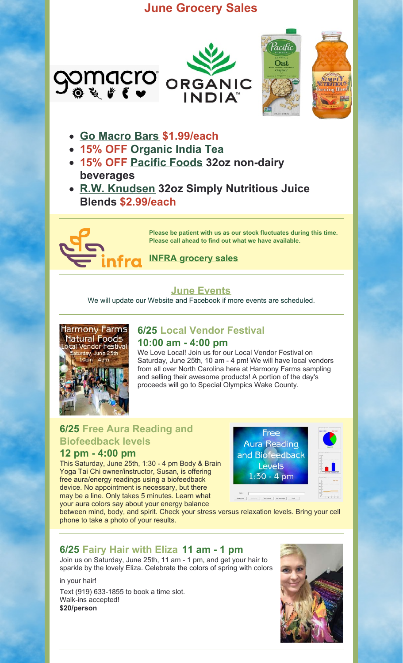# **June Grocery Sales**



- **[Go Macro Bars](https://www.gomacro.com/shop/?gclid=Cj0KCQjwnNyUBhCZARIsAI9AYlGh01Xp9nMABQiwf4OkSorw7cjCYvLKfbVJEhKtoLEbnRrO5uP8RrMaAsQqEALw_wcB) \$1.99/each**
- **15% OFF [Organic India Tea](https://organicindiausa.com/products/)**
- **15% OFF [Pacific Foods](https://www.pacificfoods.com/our-products/plant-based-beverages/) 32oz non-dairy beverages**
- **[R.W. Knudsen](https://www.rwknudsenfamily.com/products/simply-nutritious) 32oz Simply Nutritious Juice Blends \$2.99/each**



**Please be patient with us as our stock fluctuates during this time. Please call ahead to find out what we have available.**

# **[INFRA grocery sales](https://harmony-farms.net/wp-content/uploads/2022/05/PDF-SE-Region-June-2022-Flyer.pdf)**

## **[June Events](https://harmony-farms.net/events/)**

We will update our Website and Facebook if more events are scheduled.



#### **6/25 Local Vendor Festival 10:00 am - 4:00 pm**

We Love Local! Join us for our Local Vendor Festival on Saturday, June 25th, 10 am - 4 pm! We will have local vendors from all over North Carolina here at Harmony Farms sampling and selling their awesome products! A portion of the day's proceeds will go to Special Olympics Wake County.

## **6/25 Free Aura Reading and Biofeedback levels**

### **12 pm - 4:00 pm**

This Saturday, June 25th, 1:30 - 4 pm Body & Brain Yoga Tai Chi owner/instructor, Susan, is offering free aura/energy readings using a biofeedback device. No appointment is necessary, but there may be a line. Only takes 5 minutes. Learn what your aura colors say about your energy balance





between mind, body, and spirit. Check your stress versus relaxation levels. Bring your cell phone to take a photo of your results.

# **6/25 Fairy Hair with Eliza 11 am - 1 pm**

Join us on Saturday, June 25th, 11 am - 1 pm, and get your hair to sparkle by the lovely Eliza. Celebrate the colors of spring with colors

in your hair!

Text (919) 633-1855 to book a time slot. Walk-ins accepted! **\$20/person**